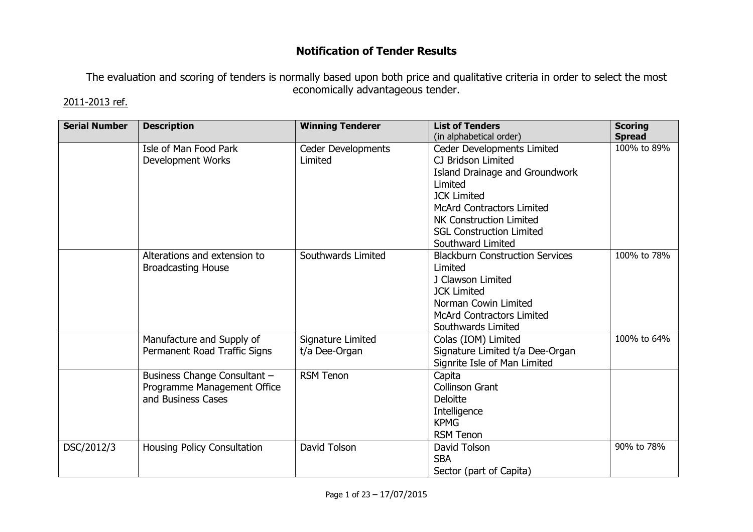## Notification of Tender Results

The evaluation and scoring of tenders is normally based upon both price and qualitative criteria in order to select the most economically advantageous tender.

## 2011-2013 ref.

| <b>Serial Number</b> | <b>Description</b>           | <b>Winning Tenderer</b>       | <b>List of Tenders</b>                           | <b>Scoring</b>               |
|----------------------|------------------------------|-------------------------------|--------------------------------------------------|------------------------------|
|                      | Isle of Man Food Park        |                               | (in alphabetical order)                          | <b>Spread</b><br>100% to 89% |
|                      | <b>Development Works</b>     | Ceder Developments<br>Limited | Ceder Developments Limited<br>CJ Bridson Limited |                              |
|                      |                              |                               |                                                  |                              |
|                      |                              |                               | Island Drainage and Groundwork<br>Limited        |                              |
|                      |                              |                               | <b>JCK Limited</b>                               |                              |
|                      |                              |                               | <b>McArd Contractors Limited</b>                 |                              |
|                      |                              |                               | NK Construction Limited                          |                              |
|                      |                              |                               | <b>SGL Construction Limited</b>                  |                              |
|                      |                              |                               | Southward Limited                                |                              |
|                      | Alterations and extension to | Southwards Limited            | <b>Blackburn Construction Services</b>           | 100% to 78%                  |
|                      | <b>Broadcasting House</b>    |                               | Limited                                          |                              |
|                      |                              |                               | J Clawson Limited                                |                              |
|                      |                              |                               | <b>JCK Limited</b>                               |                              |
|                      |                              |                               | Norman Cowin Limited                             |                              |
|                      |                              |                               | <b>McArd Contractors Limited</b>                 |                              |
|                      |                              |                               | Southwards Limited                               |                              |
|                      | Manufacture and Supply of    | Signature Limited             | Colas (IOM) Limited                              | 100% to 64%                  |
|                      | Permanent Road Traffic Signs | t/a Dee-Organ                 | Signature Limited t/a Dee-Organ                  |                              |
|                      |                              |                               | Signrite Isle of Man Limited                     |                              |
|                      | Business Change Consultant - | <b>RSM Tenon</b>              | Capita                                           |                              |
|                      | Programme Management Office  |                               | Collinson Grant                                  |                              |
|                      | and Business Cases           |                               | Deloitte                                         |                              |
|                      |                              |                               | Intelligence                                     |                              |
|                      |                              |                               | <b>KPMG</b>                                      |                              |
|                      |                              |                               | <b>RSM Tenon</b>                                 |                              |
| DSC/2012/3           | Housing Policy Consultation  | David Tolson                  | David Tolson                                     | 90% to 78%                   |
|                      |                              |                               | <b>SBA</b>                                       |                              |
|                      |                              |                               | Sector (part of Capita)                          |                              |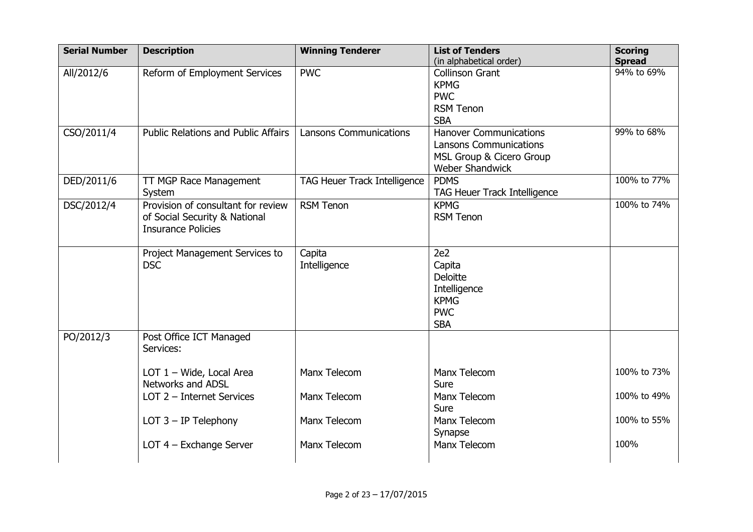| <b>Serial Number</b> | <b>Description</b>                                                                               | <b>Winning Tenderer</b>             | <b>List of Tenders</b><br>(in alphabetical order)                                                                    | <b>Scoring</b><br><b>Spread</b> |
|----------------------|--------------------------------------------------------------------------------------------------|-------------------------------------|----------------------------------------------------------------------------------------------------------------------|---------------------------------|
| All/2012/6           | Reform of Employment Services                                                                    | <b>PWC</b>                          | <b>Collinson Grant</b><br><b>KPMG</b><br><b>PWC</b><br><b>RSM Tenon</b><br><b>SBA</b>                                | 94% to 69%                      |
| CSO/2011/4           | <b>Public Relations and Public Affairs</b>                                                       | <b>Lansons Communications</b>       | <b>Hanover Communications</b><br><b>Lansons Communications</b><br>MSL Group & Cicero Group<br><b>Weber Shandwick</b> | 99% to 68%                      |
| DED/2011/6           | TT MGP Race Management<br>System                                                                 | <b>TAG Heuer Track Intelligence</b> | <b>PDMS</b><br><b>TAG Heuer Track Intelligence</b>                                                                   | 100% to 77%                     |
| DSC/2012/4           | Provision of consultant for review<br>of Social Security & National<br><b>Insurance Policies</b> | <b>RSM Tenon</b>                    | <b>KPMG</b><br><b>RSM Tenon</b>                                                                                      | 100% to 74%                     |
|                      | Project Management Services to<br><b>DSC</b>                                                     | Capita<br>Intelligence              | 2e2<br>Capita<br>Deloitte<br>Intelligence<br><b>KPMG</b><br><b>PWC</b><br><b>SBA</b>                                 |                                 |
| PO/2012/3            | Post Office ICT Managed<br>Services:                                                             |                                     |                                                                                                                      |                                 |
|                      | LOT 1 - Wide, Local Area<br><b>Networks and ADSL</b>                                             | Manx Telecom                        | Manx Telecom<br>Sure                                                                                                 | 100% to 73%                     |
|                      | LOT 2 - Internet Services                                                                        | Manx Telecom                        | Manx Telecom<br>Sure                                                                                                 | 100% to 49%                     |
|                      | LOT $3 - IP$ Telephony                                                                           | Manx Telecom                        | Manx Telecom<br>Synapse                                                                                              | 100% to 55%                     |
|                      | LOT 4 - Exchange Server                                                                          | Manx Telecom                        | Manx Telecom                                                                                                         | 100%                            |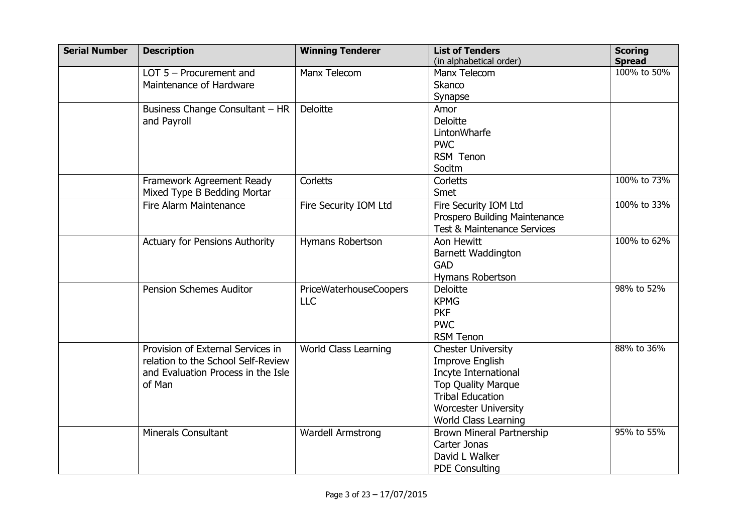| <b>Serial Number</b> | <b>Description</b>                    | <b>Winning Tenderer</b>       | <b>List of Tenders</b>           | <b>Scoring</b> |
|----------------------|---------------------------------------|-------------------------------|----------------------------------|----------------|
|                      |                                       |                               | (in alphabetical order)          | <b>Spread</b>  |
|                      | LOT $5$ – Procurement and             | Manx Telecom                  | Manx Telecom                     | 100% to 50%    |
|                      | Maintenance of Hardware               |                               | <b>Skanco</b>                    |                |
|                      |                                       |                               | Synapse                          |                |
|                      | Business Change Consultant - HR       | <b>Deloitte</b>               | Amor                             |                |
|                      | and Payroll                           |                               | <b>Deloitte</b>                  |                |
|                      |                                       |                               | LintonWharfe                     |                |
|                      |                                       |                               | <b>PWC</b>                       |                |
|                      |                                       |                               | RSM Tenon                        |                |
|                      |                                       |                               | Socitm                           |                |
|                      | Framework Agreement Ready             | Corletts                      | Corletts                         | 100% to 73%    |
|                      | Mixed Type B Bedding Mortar           |                               | Smet                             |                |
|                      | Fire Alarm Maintenance                | Fire Security IOM Ltd         | Fire Security IOM Ltd            | 100% to 33%    |
|                      |                                       |                               | Prospero Building Maintenance    |                |
|                      |                                       |                               | Test & Maintenance Services      |                |
|                      | <b>Actuary for Pensions Authority</b> | Hymans Robertson              | Aon Hewitt                       | 100% to 62%    |
|                      |                                       |                               | Barnett Waddington               |                |
|                      |                                       |                               | <b>GAD</b>                       |                |
|                      |                                       |                               | Hymans Robertson                 |                |
|                      | <b>Pension Schemes Auditor</b>        | <b>PriceWaterhouseCoopers</b> | <b>Deloitte</b>                  | 98% to 52%     |
|                      |                                       | <b>LLC</b>                    | <b>KPMG</b>                      |                |
|                      |                                       |                               | <b>PKF</b>                       |                |
|                      |                                       |                               | <b>PWC</b>                       |                |
|                      |                                       |                               | <b>RSM Tenon</b>                 |                |
|                      | Provision of External Services in     | World Class Learning          | <b>Chester University</b>        | 88% to 36%     |
|                      | relation to the School Self-Review    |                               | <b>Improve English</b>           |                |
|                      | and Evaluation Process in the Isle    |                               | Incyte International             |                |
|                      | of Man                                |                               | <b>Top Quality Marque</b>        |                |
|                      |                                       |                               | <b>Tribal Education</b>          |                |
|                      |                                       |                               | <b>Worcester University</b>      |                |
|                      |                                       |                               | <b>World Class Learning</b>      |                |
|                      | <b>Minerals Consultant</b>            | <b>Wardell Armstrong</b>      | <b>Brown Mineral Partnership</b> | 95% to 55%     |
|                      |                                       |                               | Carter Jonas                     |                |
|                      |                                       |                               | David L Walker                   |                |
|                      |                                       |                               | <b>PDE Consulting</b>            |                |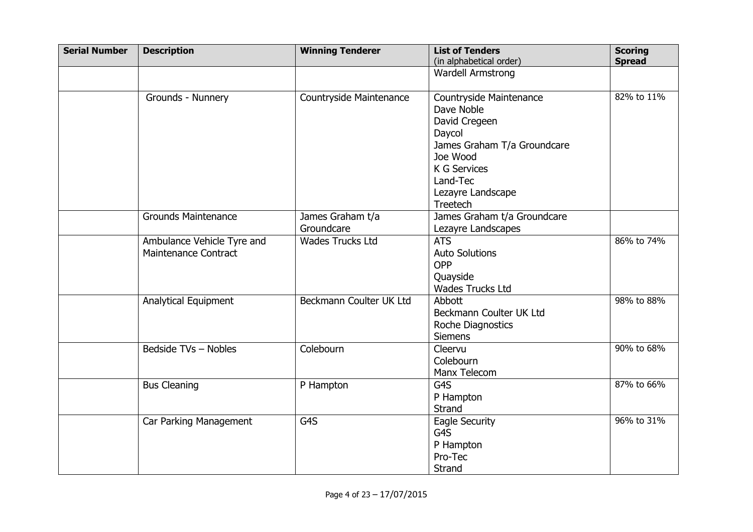| <b>Serial Number</b> | <b>Description</b>                                 | <b>Winning Tenderer</b>        | <b>List of Tenders</b><br>(in alphabetical order)                                                                                                                   | <b>Scoring</b><br><b>Spread</b> |
|----------------------|----------------------------------------------------|--------------------------------|---------------------------------------------------------------------------------------------------------------------------------------------------------------------|---------------------------------|
|                      |                                                    |                                | <b>Wardell Armstrong</b>                                                                                                                                            |                                 |
|                      | Grounds - Nunnery                                  | Countryside Maintenance        | Countryside Maintenance<br>Dave Noble<br>David Cregeen<br>Daycol<br>James Graham T/a Groundcare<br>Joe Wood<br><b>K G Services</b><br>Land-Tec<br>Lezayre Landscape | 82% to 11%                      |
|                      | <b>Grounds Maintenance</b>                         | James Graham t/a<br>Groundcare | Treetech<br>James Graham t/a Groundcare                                                                                                                             |                                 |
|                      | Ambulance Vehicle Tyre and<br>Maintenance Contract | <b>Wades Trucks Ltd</b>        | Lezayre Landscapes<br><b>ATS</b><br><b>Auto Solutions</b><br>OPP<br>Quayside<br>Wades Trucks Ltd                                                                    | 86% to 74%                      |
|                      | <b>Analytical Equipment</b>                        | Beckmann Coulter UK Ltd        | Abbott<br>Beckmann Coulter UK Ltd<br>Roche Diagnostics<br><b>Siemens</b>                                                                                            | 98% to 88%                      |
|                      | Bedside TVs - Nobles                               | Colebourn                      | Cleervu<br>Colebourn<br>Manx Telecom                                                                                                                                | 90% to 68%                      |
|                      | <b>Bus Cleaning</b>                                | P Hampton                      | G4S<br>P Hampton<br>Strand                                                                                                                                          | 87% to 66%                      |
|                      | Car Parking Management                             | G4S                            | Eagle Security<br>G4S<br>P Hampton<br>Pro-Tec<br>Strand                                                                                                             | 96% to 31%                      |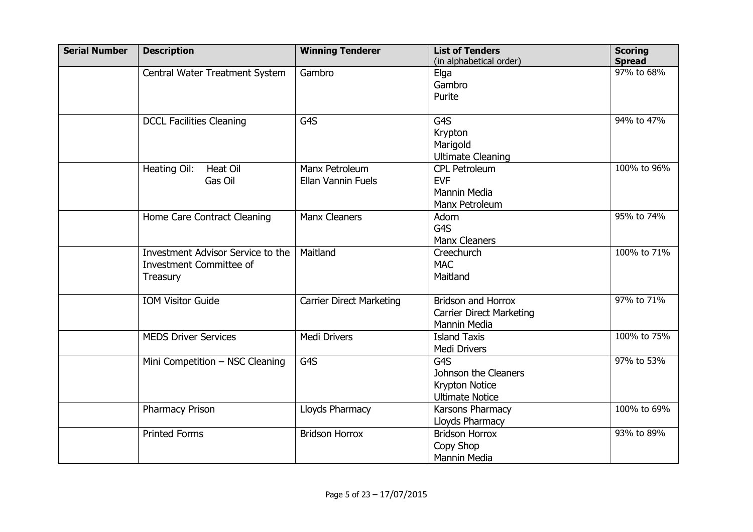| <b>Serial Number</b> | <b>Description</b>                                                       | <b>Winning Tenderer</b>                     | <b>List of Tenders</b><br>(in alphabetical order)                            | <b>Scoring</b><br><b>Spread</b> |
|----------------------|--------------------------------------------------------------------------|---------------------------------------------|------------------------------------------------------------------------------|---------------------------------|
|                      | Central Water Treatment System                                           | Gambro                                      | Elga<br>Gambro<br>Purite                                                     | 97% to 68%                      |
|                      | <b>DCCL Facilities Cleaning</b>                                          | G <sub>4</sub> S                            | G <sub>4</sub> S<br>Krypton<br>Marigold<br><b>Ultimate Cleaning</b>          | 94% to 47%                      |
|                      | <b>Heat Oil</b><br>Heating Oil:<br>Gas Oil                               | Manx Petroleum<br><b>Ellan Vannin Fuels</b> | <b>CPL Petroleum</b><br><b>EVF</b><br><b>Mannin Media</b><br>Manx Petroleum  | 100% to 96%                     |
|                      | Home Care Contract Cleaning                                              | <b>Manx Cleaners</b>                        | Adorn<br>G4S<br><b>Manx Cleaners</b>                                         | 95% to 74%                      |
|                      | Investment Advisor Service to the<br>Investment Committee of<br>Treasury | Maitland                                    | Creechurch<br><b>MAC</b><br>Maitland                                         | 100% to 71%                     |
|                      | <b>IOM Visitor Guide</b>                                                 | <b>Carrier Direct Marketing</b>             | <b>Bridson and Horrox</b><br><b>Carrier Direct Marketing</b><br>Mannin Media | 97% to 71%                      |
|                      | <b>MEDS Driver Services</b>                                              | <b>Medi Drivers</b>                         | <b>Island Taxis</b><br><b>Medi Drivers</b>                                   | 100% to 75%                     |
|                      | Mini Competition - NSC Cleaning                                          | G4S                                         | G4S<br>Johnson the Cleaners<br>Krypton Notice<br><b>Ultimate Notice</b>      | 97% to 53%                      |
|                      | Pharmacy Prison                                                          | Lloyds Pharmacy                             | Karsons Pharmacy<br>Lloyds Pharmacy                                          | 100% to 69%                     |
|                      | <b>Printed Forms</b>                                                     | <b>Bridson Horrox</b>                       | <b>Bridson Horrox</b><br>Copy Shop<br>Mannin Media                           | 93% to 89%                      |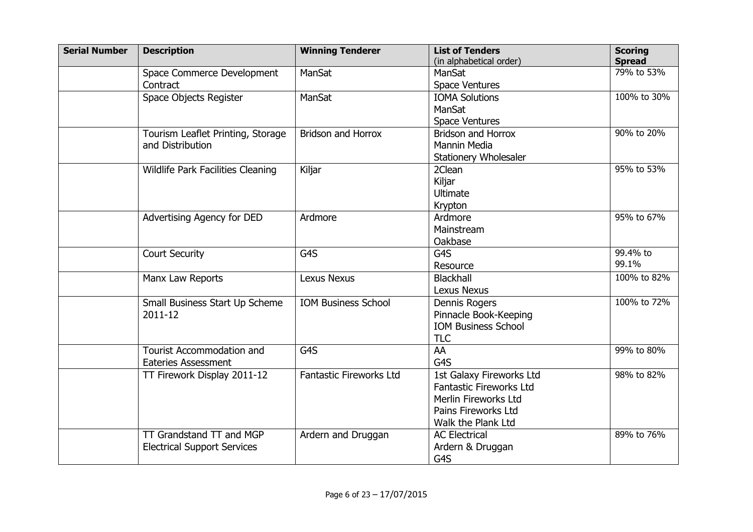| <b>Serial Number</b> | <b>Description</b>                                             | <b>Winning Tenderer</b>    | <b>List of Tenders</b><br>(in alphabetical order)                                                                        | <b>Scoring</b><br><b>Spread</b> |
|----------------------|----------------------------------------------------------------|----------------------------|--------------------------------------------------------------------------------------------------------------------------|---------------------------------|
|                      | Space Commerce Development<br>Contract                         | <b>ManSat</b>              | ManSat<br><b>Space Ventures</b>                                                                                          | 79% to 53%                      |
|                      | Space Objects Register                                         | ManSat                     | <b>IOMA Solutions</b><br>ManSat<br><b>Space Ventures</b>                                                                 | 100% to 30%                     |
|                      | Tourism Leaflet Printing, Storage<br>and Distribution          | <b>Bridson and Horrox</b>  | <b>Bridson and Horrox</b><br><b>Mannin Media</b><br><b>Stationery Wholesaler</b>                                         | 90% to 20%                      |
|                      | Wildlife Park Facilities Cleaning                              | Kiljar                     | 2Clean<br>Kiljar<br>Ultimate<br>Krypton                                                                                  | 95% to 53%                      |
|                      | Advertising Agency for DED                                     | Ardmore                    | Ardmore<br>Mainstream<br>Oakbase                                                                                         | 95% to 67%                      |
|                      | <b>Court Security</b>                                          | G4S                        | G <sub>4</sub> S<br>Resource                                                                                             | 99.4% to<br>99.1%               |
|                      | Manx Law Reports                                               | <b>Lexus Nexus</b>         | <b>Blackhall</b><br><b>Lexus Nexus</b>                                                                                   | 100% to 82%                     |
|                      | Small Business Start Up Scheme<br>2011-12                      | <b>IOM Business School</b> | Dennis Rogers<br>Pinnacle Book-Keeping<br><b>IOM Business School</b><br><b>TLC</b>                                       | 100% to 72%                     |
|                      | Tourist Accommodation and<br><b>Eateries Assessment</b>        | G4S                        | AA<br>G4S                                                                                                                | 99% to 80%                      |
|                      | TT Firework Display 2011-12                                    | Fantastic Fireworks Ltd    | 1st Galaxy Fireworks Ltd<br>Fantastic Fireworks Ltd<br>Merlin Fireworks Ltd<br>Pains Fireworks Ltd<br>Walk the Plank Ltd | 98% to 82%                      |
|                      | TT Grandstand TT and MGP<br><b>Electrical Support Services</b> | Ardern and Druggan         | <b>AC Electrical</b><br>Ardern & Druggan<br>G4S                                                                          | 89% to 76%                      |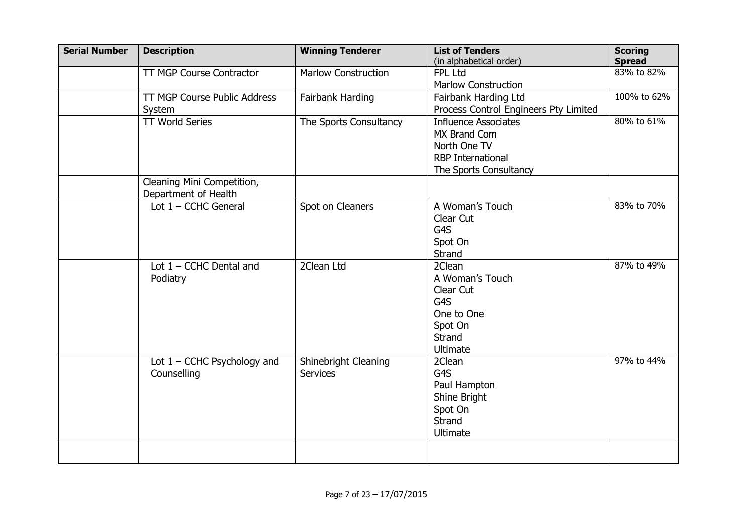| <b>Serial Number</b> | <b>Description</b>              | <b>Winning Tenderer</b>    | <b>List of Tenders</b><br>(in alphabetical order) | <b>Scoring</b><br><b>Spread</b> |
|----------------------|---------------------------------|----------------------------|---------------------------------------------------|---------------------------------|
|                      | <b>TT MGP Course Contractor</b> | <b>Marlow Construction</b> | <b>FPL Ltd</b>                                    | 83% to 82%                      |
|                      |                                 |                            | <b>Marlow Construction</b>                        |                                 |
|                      | TT MGP Course Public Address    | Fairbank Harding           | Fairbank Harding Ltd                              | 100% to 62%                     |
|                      | System                          |                            | Process Control Engineers Pty Limited             |                                 |
|                      | <b>TT World Series</b>          | The Sports Consultancy     | <b>Influence Associates</b>                       | 80% to 61%                      |
|                      |                                 |                            | MX Brand Com                                      |                                 |
|                      |                                 |                            | North One TV                                      |                                 |
|                      |                                 |                            | <b>RBP</b> International                          |                                 |
|                      |                                 |                            | The Sports Consultancy                            |                                 |
|                      | Cleaning Mini Competition,      |                            |                                                   |                                 |
|                      | Department of Health            |                            |                                                   |                                 |
|                      | Lot $1 -$ CCHC General          | Spot on Cleaners           | A Woman's Touch                                   | 83% to 70%                      |
|                      |                                 |                            | Clear Cut                                         |                                 |
|                      |                                 |                            | G4S                                               |                                 |
|                      |                                 |                            | Spot On                                           |                                 |
|                      |                                 |                            | Strand                                            |                                 |
|                      | Lot $1 -$ CCHC Dental and       | 2Clean Ltd                 | 2Clean                                            | 87% to 49%                      |
|                      | Podiatry                        |                            | A Woman's Touch                                   |                                 |
|                      |                                 |                            | Clear Cut                                         |                                 |
|                      |                                 |                            | G4S                                               |                                 |
|                      |                                 |                            | One to One                                        |                                 |
|                      |                                 |                            | Spot On                                           |                                 |
|                      |                                 |                            | Strand                                            |                                 |
|                      |                                 |                            | <b>Ultimate</b>                                   |                                 |
|                      | Lot $1 -$ CCHC Psychology and   | Shinebright Cleaning       | 2Clean                                            | 97% to 44%                      |
|                      | Counselling                     | <b>Services</b>            | G4S                                               |                                 |
|                      |                                 |                            | Paul Hampton                                      |                                 |
|                      |                                 |                            | Shine Bright                                      |                                 |
|                      |                                 |                            | Spot On                                           |                                 |
|                      |                                 |                            | Strand                                            |                                 |
|                      |                                 |                            | Ultimate                                          |                                 |
|                      |                                 |                            |                                                   |                                 |
|                      |                                 |                            |                                                   |                                 |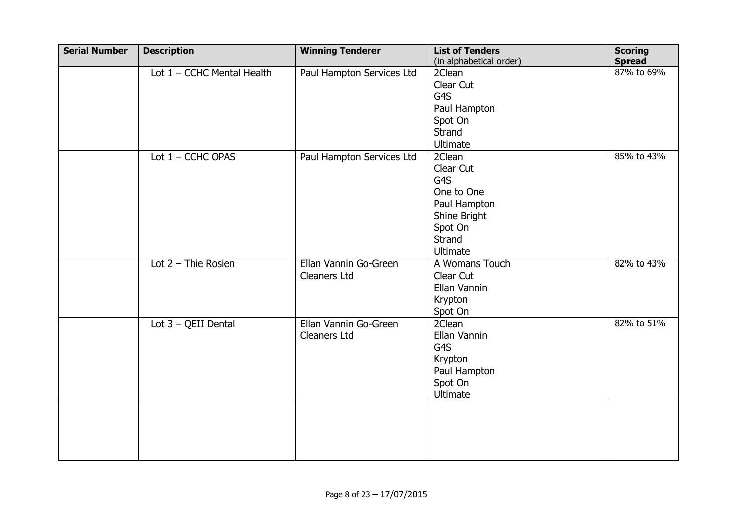| <b>Serial Number</b> | <b>Description</b>           | <b>Winning Tenderer</b>   | <b>List of Tenders</b><br>(in alphabetical order) | <b>Scoring</b><br><b>Spread</b> |
|----------------------|------------------------------|---------------------------|---------------------------------------------------|---------------------------------|
|                      | Lot $1 -$ CCHC Mental Health | Paul Hampton Services Ltd | 2Clean                                            | 87% to 69%                      |
|                      |                              |                           | Clear Cut                                         |                                 |
|                      |                              |                           | G4S                                               |                                 |
|                      |                              |                           | Paul Hampton                                      |                                 |
|                      |                              |                           | Spot On                                           |                                 |
|                      |                              |                           | Strand                                            |                                 |
|                      |                              |                           | Ultimate                                          |                                 |
|                      | Lot $1 -$ CCHC OPAS          | Paul Hampton Services Ltd | 2Clean                                            | 85% to 43%                      |
|                      |                              |                           | Clear Cut                                         |                                 |
|                      |                              |                           | G4S                                               |                                 |
|                      |                              |                           | One to One                                        |                                 |
|                      |                              |                           | Paul Hampton                                      |                                 |
|                      |                              |                           | Shine Bright                                      |                                 |
|                      |                              |                           | Spot On                                           |                                 |
|                      |                              |                           | Strand                                            |                                 |
|                      |                              |                           | Ultimate                                          |                                 |
|                      | Lot $2$ – Thie Rosien        | Ellan Vannin Go-Green     | A Womans Touch                                    | 82% to 43%                      |
|                      |                              | Cleaners Ltd              | Clear Cut                                         |                                 |
|                      |                              |                           | Ellan Vannin                                      |                                 |
|                      |                              |                           | Krypton                                           |                                 |
|                      |                              |                           | Spot On                                           |                                 |
|                      | Lot $3 - QEII$ Dental        | Ellan Vannin Go-Green     | 2Clean                                            | 82% to 51%                      |
|                      |                              | <b>Cleaners Ltd</b>       | Ellan Vannin<br>G4S                               |                                 |
|                      |                              |                           |                                                   |                                 |
|                      |                              |                           | Krypton                                           |                                 |
|                      |                              |                           | Paul Hampton<br>Spot On                           |                                 |
|                      |                              |                           | Ultimate                                          |                                 |
|                      |                              |                           |                                                   |                                 |
|                      |                              |                           |                                                   |                                 |
|                      |                              |                           |                                                   |                                 |
|                      |                              |                           |                                                   |                                 |
|                      |                              |                           |                                                   |                                 |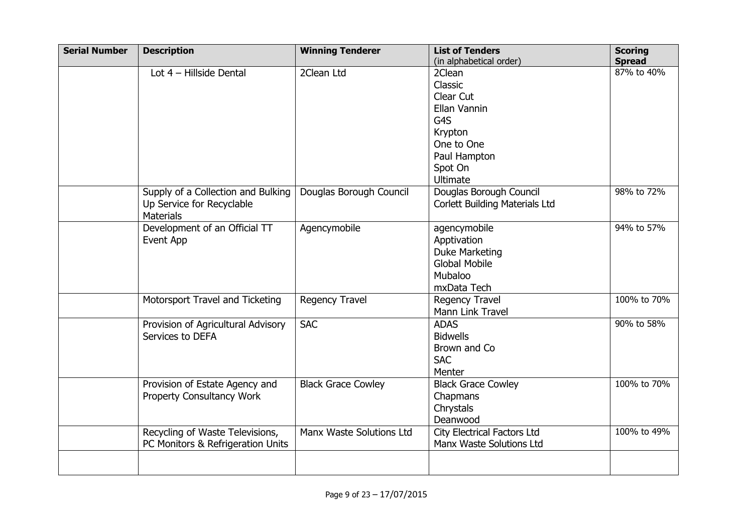| <b>Serial Number</b> | <b>Description</b>                 | <b>Winning Tenderer</b>   | <b>List of Tenders</b>                | <b>Scoring</b> |
|----------------------|------------------------------------|---------------------------|---------------------------------------|----------------|
|                      |                                    |                           | (in alphabetical order)               | <b>Spread</b>  |
|                      | Lot 4 - Hillside Dental            | 2Clean Ltd                | 2Clean                                | 87% to 40%     |
|                      |                                    |                           | Classic                               |                |
|                      |                                    |                           | Clear Cut                             |                |
|                      |                                    |                           | Ellan Vannin                          |                |
|                      |                                    |                           | G4S                                   |                |
|                      |                                    |                           | Krypton                               |                |
|                      |                                    |                           | One to One                            |                |
|                      |                                    |                           | Paul Hampton                          |                |
|                      |                                    |                           | Spot On                               |                |
|                      |                                    |                           | <b>Ultimate</b>                       |                |
|                      | Supply of a Collection and Bulking | Douglas Borough Council   | Douglas Borough Council               | 98% to 72%     |
|                      | Up Service for Recyclable          |                           | <b>Corlett Building Materials Ltd</b> |                |
|                      | <b>Materials</b>                   |                           |                                       |                |
|                      | Development of an Official TT      | Agencymobile              | agencymobile                          | 94% to 57%     |
|                      | Event App                          |                           | Apptivation                           |                |
|                      |                                    |                           | <b>Duke Marketing</b>                 |                |
|                      |                                    |                           | <b>Global Mobile</b>                  |                |
|                      |                                    |                           | Mubaloo                               |                |
|                      |                                    |                           | mxData Tech                           |                |
|                      | Motorsport Travel and Ticketing    | <b>Regency Travel</b>     | Regency Travel                        | 100% to 70%    |
|                      |                                    |                           | Mann Link Travel                      |                |
|                      | Provision of Agricultural Advisory | <b>SAC</b>                | <b>ADAS</b>                           | 90% to 58%     |
|                      | Services to DEFA                   |                           | <b>Bidwells</b>                       |                |
|                      |                                    |                           | Brown and Co                          |                |
|                      |                                    |                           | <b>SAC</b>                            |                |
|                      |                                    |                           | Menter                                |                |
|                      | Provision of Estate Agency and     | <b>Black Grace Cowley</b> | <b>Black Grace Cowley</b>             | 100% to 70%    |
|                      | Property Consultancy Work          |                           | Chapmans                              |                |
|                      |                                    |                           | Chrystals                             |                |
|                      |                                    |                           | Deanwood                              |                |
|                      | Recycling of Waste Televisions,    | Manx Waste Solutions Ltd  | <b>City Electrical Factors Ltd</b>    | 100% to 49%    |
|                      | PC Monitors & Refrigeration Units  |                           | Manx Waste Solutions Ltd              |                |
|                      |                                    |                           |                                       |                |
|                      |                                    |                           |                                       |                |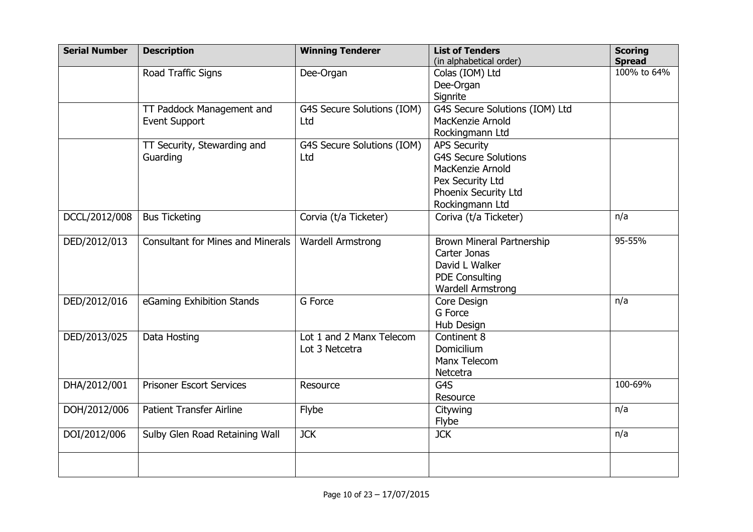| <b>Serial Number</b> | <b>Description</b>                       | <b>Winning Tenderer</b>    | <b>List of Tenders</b>         | <b>Scoring</b> |
|----------------------|------------------------------------------|----------------------------|--------------------------------|----------------|
|                      |                                          |                            | (in alphabetical order)        | <b>Spread</b>  |
|                      | Road Traffic Signs                       | Dee-Organ                  | Colas (IOM) Ltd                | 100% to 64%    |
|                      |                                          |                            | Dee-Organ                      |                |
|                      |                                          |                            | Signrite                       |                |
|                      | TT Paddock Management and                | G4S Secure Solutions (IOM) | G4S Secure Solutions (IOM) Ltd |                |
|                      | <b>Event Support</b>                     | Ltd                        | MacKenzie Arnold               |                |
|                      |                                          |                            | Rockingmann Ltd                |                |
|                      | TT Security, Stewarding and              | G4S Secure Solutions (IOM) | <b>APS Security</b>            |                |
|                      | Guarding                                 | Ltd                        | <b>G4S Secure Solutions</b>    |                |
|                      |                                          |                            | MacKenzie Arnold               |                |
|                      |                                          |                            | Pex Security Ltd               |                |
|                      |                                          |                            | Phoenix Security Ltd           |                |
|                      |                                          |                            | Rockingmann Ltd                |                |
| DCCL/2012/008        | <b>Bus Ticketing</b>                     | Corvia (t/a Ticketer)      | Coriva (t/a Ticketer)          | n/a            |
| DED/2012/013         | <b>Consultant for Mines and Minerals</b> | Wardell Armstrong          | Brown Mineral Partnership      | 95-55%         |
|                      |                                          |                            | Carter Jonas                   |                |
|                      |                                          |                            | David L Walker                 |                |
|                      |                                          |                            | <b>PDE Consulting</b>          |                |
|                      |                                          |                            | <b>Wardell Armstrong</b>       |                |
| DED/2012/016         | eGaming Exhibition Stands                | G Force                    | Core Design                    | n/a            |
|                      |                                          |                            | G Force                        |                |
|                      |                                          |                            | Hub Design                     |                |
| DED/2013/025         | Data Hosting                             | Lot 1 and 2 Manx Telecom   | Continent 8                    |                |
|                      |                                          | Lot 3 Netcetra             | Domicilium                     |                |
|                      |                                          |                            | Manx Telecom                   |                |
|                      |                                          |                            | Netcetra                       |                |
| DHA/2012/001         | <b>Prisoner Escort Services</b>          | Resource                   | G4S                            | 100-69%        |
|                      |                                          |                            | Resource                       |                |
| DOH/2012/006         | <b>Patient Transfer Airline</b>          | Flybe                      | Citywing                       | n/a            |
|                      |                                          |                            | Flybe                          |                |
| DOI/2012/006         | Sulby Glen Road Retaining Wall           | <b>JCK</b>                 | <b>JCK</b>                     | n/a            |
|                      |                                          |                            |                                |                |
|                      |                                          |                            |                                |                |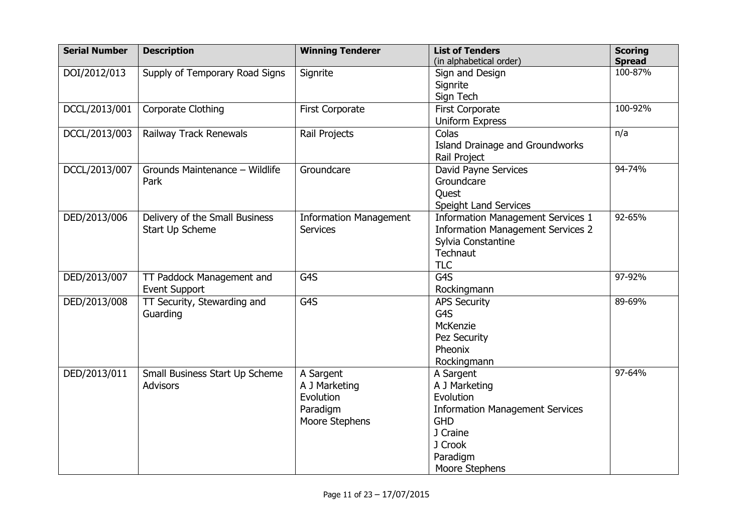| <b>Serial Number</b> | <b>Description</b>             | <b>Winning Tenderer</b>       | <b>List of Tenders</b>                   | <b>Scoring</b>           |
|----------------------|--------------------------------|-------------------------------|------------------------------------------|--------------------------|
|                      |                                |                               | (in alphabetical order)                  | <b>Spread</b><br>100-87% |
| DOI/2012/013         | Supply of Temporary Road Signs | Signrite                      | Sign and Design                          |                          |
|                      |                                |                               | Signrite                                 |                          |
|                      |                                |                               | Sign Tech                                |                          |
| DCCL/2013/001        | Corporate Clothing             | <b>First Corporate</b>        | <b>First Corporate</b>                   | 100-92%                  |
|                      |                                |                               | <b>Uniform Express</b>                   |                          |
| DCCL/2013/003        | Railway Track Renewals         | Rail Projects                 | Colas                                    | n/a                      |
|                      |                                |                               | Island Drainage and Groundworks          |                          |
|                      |                                |                               | Rail Project                             |                          |
| DCCL/2013/007        | Grounds Maintenance - Wildlife | Groundcare                    | David Payne Services                     | 94-74%                   |
|                      | Park                           |                               | Groundcare                               |                          |
|                      |                                |                               | Quest                                    |                          |
|                      |                                |                               | <b>Speight Land Services</b>             |                          |
| DED/2013/006         | Delivery of the Small Business | <b>Information Management</b> | <b>Information Management Services 1</b> | 92-65%                   |
|                      | Start Up Scheme                | <b>Services</b>               | <b>Information Management Services 2</b> |                          |
|                      |                                |                               | Sylvia Constantine                       |                          |
|                      |                                |                               | Technaut                                 |                          |
|                      |                                |                               | <b>TLC</b>                               |                          |
| DED/2013/007         | TT Paddock Management and      | G4S                           | G4S                                      | 97-92%                   |
|                      | <b>Event Support</b>           |                               | Rockingmann                              |                          |
| DED/2013/008         | TT Security, Stewarding and    | G4S                           | <b>APS Security</b>                      | 89-69%                   |
|                      | Guarding                       |                               | G4S                                      |                          |
|                      |                                |                               | McKenzie                                 |                          |
|                      |                                |                               | Pez Security                             |                          |
|                      |                                |                               | Pheonix                                  |                          |
|                      |                                |                               | Rockingmann                              |                          |
| DED/2013/011         | Small Business Start Up Scheme | A Sargent                     | A Sargent                                | 97-64%                   |
|                      | <b>Advisors</b>                | A J Marketing                 | A J Marketing                            |                          |
|                      |                                | Evolution                     | Evolution                                |                          |
|                      |                                | Paradigm                      | <b>Information Management Services</b>   |                          |
|                      |                                | Moore Stephens                | <b>GHD</b>                               |                          |
|                      |                                |                               | J Craine                                 |                          |
|                      |                                |                               | J Crook                                  |                          |
|                      |                                |                               | Paradigm                                 |                          |
|                      |                                |                               | Moore Stephens                           |                          |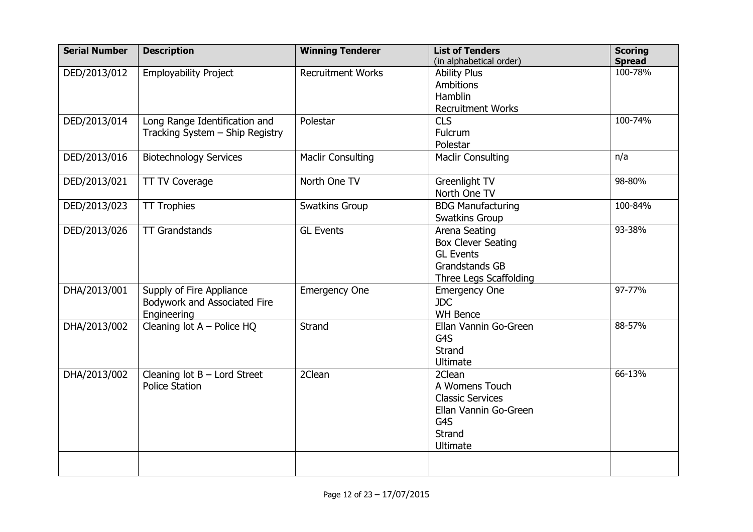| <b>Serial Number</b> | <b>Description</b>              | <b>Winning Tenderer</b>  | <b>List of Tenders</b>    | <b>Scoring</b> |
|----------------------|---------------------------------|--------------------------|---------------------------|----------------|
|                      |                                 |                          | (in alphabetical order)   | <b>Spread</b>  |
| DED/2013/012         | <b>Employability Project</b>    | <b>Recruitment Works</b> | <b>Ability Plus</b>       | 100-78%        |
|                      |                                 |                          | Ambitions                 |                |
|                      |                                 |                          | Hamblin                   |                |
|                      |                                 |                          | <b>Recruitment Works</b>  |                |
| DED/2013/014         | Long Range Identification and   | Polestar                 | <b>CLS</b>                | 100-74%        |
|                      | Tracking System - Ship Registry |                          | Fulcrum                   |                |
|                      |                                 |                          | Polestar                  |                |
| DED/2013/016         | <b>Biotechnology Services</b>   | <b>Maclir Consulting</b> | <b>Maclir Consulting</b>  | n/a            |
| DED/2013/021         | <b>TT TV Coverage</b>           | North One TV             | Greenlight TV             | 98-80%         |
|                      |                                 |                          | North One TV              |                |
| DED/2013/023         | <b>TT Trophies</b>              | Swatkins Group           | <b>BDG Manufacturing</b>  | 100-84%        |
|                      |                                 |                          | Swatkins Group            |                |
| DED/2013/026         | <b>TT Grandstands</b>           | <b>GL Events</b>         | Arena Seating             | 93-38%         |
|                      |                                 |                          | <b>Box Clever Seating</b> |                |
|                      |                                 |                          | <b>GL Events</b>          |                |
|                      |                                 |                          | <b>Grandstands GB</b>     |                |
|                      |                                 |                          | Three Legs Scaffolding    |                |
| DHA/2013/001         | Supply of Fire Appliance        | <b>Emergency One</b>     | <b>Emergency One</b>      | 97-77%         |
|                      | Bodywork and Associated Fire    |                          | <b>JDC</b>                |                |
|                      | Engineering                     |                          | <b>WH Bence</b>           |                |
| DHA/2013/002         | Cleaning lot $A -$ Police HQ    | <b>Strand</b>            | Ellan Vannin Go-Green     | 88-57%         |
|                      |                                 |                          | G4S                       |                |
|                      |                                 |                          | <b>Strand</b>             |                |
|                      |                                 |                          | Ultimate                  |                |
| DHA/2013/002         | Cleaning lot $B$ – Lord Street  | 2Clean                   | 2Clean                    | 66-13%         |
|                      | <b>Police Station</b>           |                          | A Womens Touch            |                |
|                      |                                 |                          | <b>Classic Services</b>   |                |
|                      |                                 |                          | Ellan Vannin Go-Green     |                |
|                      |                                 |                          | G4S                       |                |
|                      |                                 |                          | Strand                    |                |
|                      |                                 |                          | Ultimate                  |                |
|                      |                                 |                          |                           |                |
|                      |                                 |                          |                           |                |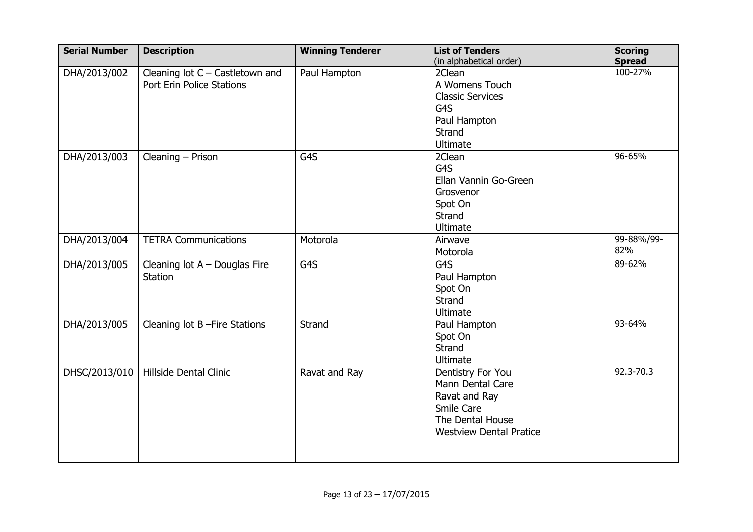| <b>Serial Number</b> | <b>Description</b>                | <b>Winning Tenderer</b> | <b>List of Tenders</b>         | <b>Scoring</b> |
|----------------------|-----------------------------------|-------------------------|--------------------------------|----------------|
|                      |                                   |                         | (in alphabetical order)        | <b>Spread</b>  |
| DHA/2013/002         | Cleaning lot $C$ – Castletown and | Paul Hampton            | 2Clean                         | 100-27%        |
|                      | Port Erin Police Stations         |                         | A Womens Touch                 |                |
|                      |                                   |                         | <b>Classic Services</b>        |                |
|                      |                                   |                         | G4S                            |                |
|                      |                                   |                         | Paul Hampton                   |                |
|                      |                                   |                         | Strand                         |                |
|                      |                                   |                         | Ultimate                       |                |
| DHA/2013/003         | Cleaning - Prison                 | G4S                     | 2Clean                         | 96-65%         |
|                      |                                   |                         | G <sub>4</sub> S               |                |
|                      |                                   |                         | Ellan Vannin Go-Green          |                |
|                      |                                   |                         | Grosvenor                      |                |
|                      |                                   |                         | Spot On                        |                |
|                      |                                   |                         | Strand                         |                |
|                      |                                   |                         | <b>Ultimate</b>                |                |
| DHA/2013/004         | <b>TETRA Communications</b>       | Motorola                | Airwave                        | 99-88%/99-     |
|                      |                                   |                         | Motorola                       | 82%            |
| DHA/2013/005         | Cleaning lot $A -$ Douglas Fire   | G4S                     | G4S                            | 89-62%         |
|                      | <b>Station</b>                    |                         | Paul Hampton                   |                |
|                      |                                   |                         | Spot On                        |                |
|                      |                                   |                         | Strand                         |                |
|                      |                                   |                         | <b>Ultimate</b>                |                |
| DHA/2013/005         | Cleaning lot B-Fire Stations      | Strand                  | Paul Hampton                   | 93-64%         |
|                      |                                   |                         | Spot On                        |                |
|                      |                                   |                         | Strand                         |                |
|                      |                                   |                         | <b>Ultimate</b>                |                |
| DHSC/2013/010        | Hillside Dental Clinic            | Ravat and Ray           | Dentistry For You              | 92.3-70.3      |
|                      |                                   |                         | Mann Dental Care               |                |
|                      |                                   |                         | Ravat and Ray                  |                |
|                      |                                   |                         | Smile Care                     |                |
|                      |                                   |                         | The Dental House               |                |
|                      |                                   |                         | <b>Westview Dental Pratice</b> |                |
|                      |                                   |                         |                                |                |
|                      |                                   |                         |                                |                |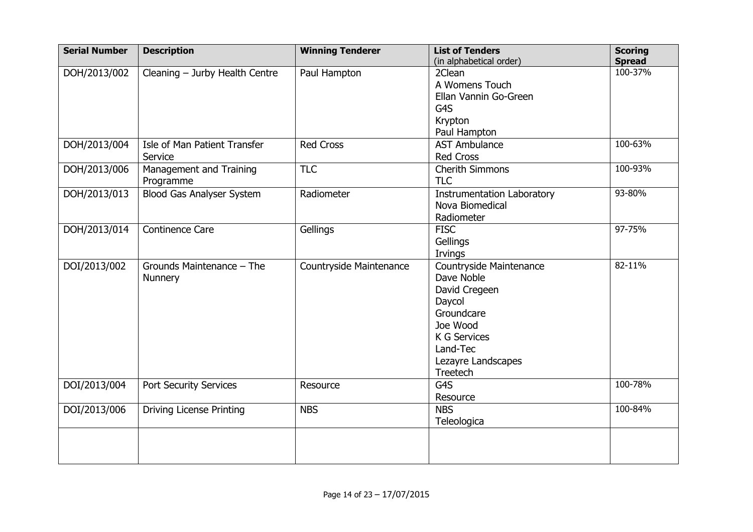| <b>Serial Number</b> | <b>Description</b>                                 | <b>Winning Tenderer</b> | <b>List of Tenders</b><br>(in alphabetical order)                                                                                                               | <b>Scoring</b><br><b>Spread</b> |
|----------------------|----------------------------------------------------|-------------------------|-----------------------------------------------------------------------------------------------------------------------------------------------------------------|---------------------------------|
| DOH/2013/002         | Cleaning - Jurby Health Centre                     | Paul Hampton            | 2Clean<br>A Womens Touch<br>Ellan Vannin Go-Green<br>G4S<br>Krypton<br>Paul Hampton                                                                             | 100-37%                         |
| DOH/2013/004         | Isle of Man Patient Transfer<br>Service            | <b>Red Cross</b>        | <b>AST Ambulance</b><br><b>Red Cross</b>                                                                                                                        | 100-63%                         |
| DOH/2013/006         | Management and Training<br>Programme               | <b>TLC</b>              | <b>Cherith Simmons</b><br><b>TLC</b>                                                                                                                            | 100-93%                         |
| DOH/2013/013         | <b>Blood Gas Analyser System</b>                   | Radiometer              | <b>Instrumentation Laboratory</b><br>Nova Biomedical<br>Radiometer                                                                                              | 93-80%                          |
| DOH/2013/014         | <b>Continence Care</b>                             | Gellings                | <b>FISC</b><br>Gellings<br>Irvings                                                                                                                              | 97-75%                          |
| DOI/2013/002         | $\overline{Grou}$ nds Maintenance - The<br>Nunnery | Countryside Maintenance | Countryside Maintenance<br>Dave Noble<br>David Cregeen<br>Daycol<br>Groundcare<br>Joe Wood<br><b>K G Services</b><br>Land-Tec<br>Lezayre Landscapes<br>Treetech | 82-11%                          |
| DOI/2013/004         | Port Security Services                             | Resource                | G4S<br>Resource                                                                                                                                                 | 100-78%                         |
| DOI/2013/006         | <b>Driving License Printing</b>                    | <b>NBS</b>              | <b>NBS</b><br>Teleologica                                                                                                                                       | 100-84%                         |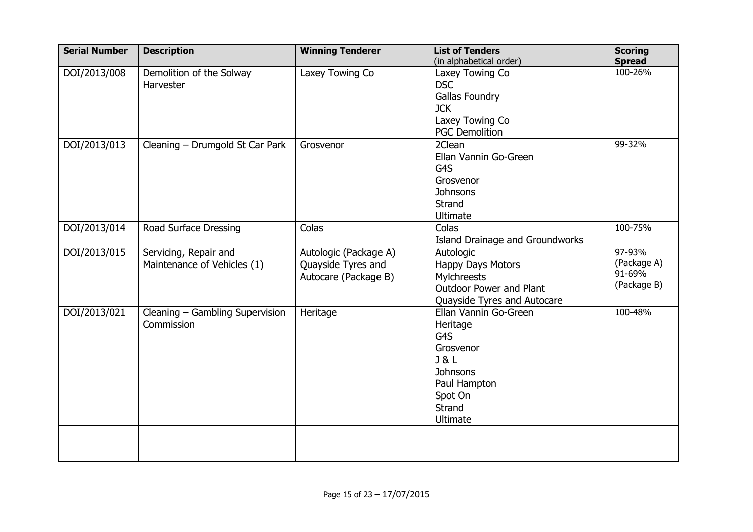| <b>Serial Number</b> | <b>Description</b>              | <b>Winning Tenderer</b> | <b>List of Tenders</b>          | <b>Scoring</b> |
|----------------------|---------------------------------|-------------------------|---------------------------------|----------------|
|                      |                                 |                         | (in alphabetical order)         | <b>Spread</b>  |
| DOI/2013/008         | Demolition of the Solway        | Laxey Towing Co         | Laxey Towing Co                 | 100-26%        |
|                      | Harvester                       |                         | <b>DSC</b>                      |                |
|                      |                                 |                         | <b>Gallas Foundry</b>           |                |
|                      |                                 |                         | <b>JCK</b>                      |                |
|                      |                                 |                         | Laxey Towing Co                 |                |
|                      |                                 |                         | <b>PGC Demolition</b>           |                |
| DOI/2013/013         | Cleaning - Drumgold St Car Park | Grosvenor               | 2Clean                          | 99-32%         |
|                      |                                 |                         | Ellan Vannin Go-Green           |                |
|                      |                                 |                         | G4S                             |                |
|                      |                                 |                         | Grosvenor                       |                |
|                      |                                 |                         | Johnsons                        |                |
|                      |                                 |                         | Strand                          |                |
|                      |                                 |                         | <b>Ultimate</b>                 |                |
| DOI/2013/014         | Road Surface Dressing           | Colas                   | Colas                           | 100-75%        |
|                      |                                 |                         | Island Drainage and Groundworks |                |
| DOI/2013/015         | Servicing, Repair and           | Autologic (Package A)   | Autologic                       | 97-93%         |
|                      | Maintenance of Vehicles (1)     | Quayside Tyres and      | Happy Days Motors               | (Package A)    |
|                      |                                 | Autocare (Package B)    | Mylchreests                     | 91-69%         |
|                      |                                 |                         | Outdoor Power and Plant         | (Package B)    |
|                      |                                 |                         | Quayside Tyres and Autocare     |                |
| DOI/2013/021         | Cleaning - Gambling Supervision | Heritage                | Ellan Vannin Go-Green           | 100-48%        |
|                      | Commission                      |                         | Heritage                        |                |
|                      |                                 |                         | G4S                             |                |
|                      |                                 |                         | Grosvenor                       |                |
|                      |                                 |                         | J & L                           |                |
|                      |                                 |                         | <b>Johnsons</b>                 |                |
|                      |                                 |                         | Paul Hampton                    |                |
|                      |                                 |                         | Spot On                         |                |
|                      |                                 |                         | <b>Strand</b>                   |                |
|                      |                                 |                         | <b>Ultimate</b>                 |                |
|                      |                                 |                         |                                 |                |
|                      |                                 |                         |                                 |                |
|                      |                                 |                         |                                 |                |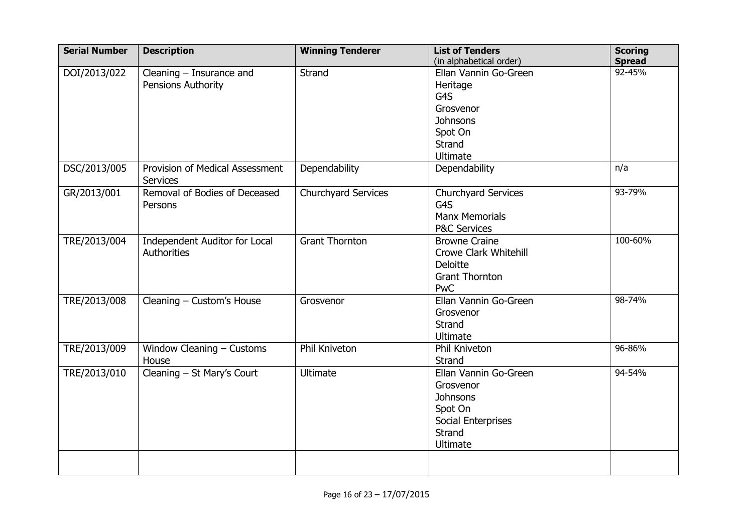| <b>Serial Number</b> | <b>Description</b>                                  | <b>Winning Tenderer</b> | <b>List of Tenders</b>                                                                                                   | <b>Scoring</b>          |
|----------------------|-----------------------------------------------------|-------------------------|--------------------------------------------------------------------------------------------------------------------------|-------------------------|
| DOI/2013/022         | Cleaning $-$ Insurance and<br>Pensions Authority    | Strand                  | (in alphabetical order)<br>Ellan Vannin Go-Green<br>Heritage<br>G4S<br>Grosvenor<br><b>Johnsons</b><br>Spot On<br>Strand | <b>Spread</b><br>92-45% |
| DSC/2013/005         | Provision of Medical Assessment<br><b>Services</b>  | Dependability           | <b>Ultimate</b><br>Dependability                                                                                         | n/a                     |
| GR/2013/001          | Removal of Bodies of Deceased<br>Persons            | Churchyard Services     | Churchyard Services<br>G4S<br><b>Manx Memorials</b><br><b>P&amp;C Services</b>                                           | 93-79%                  |
| TRE/2013/004         | Independent Auditor for Local<br><b>Authorities</b> | <b>Grant Thornton</b>   | <b>Browne Craine</b><br><b>Crowe Clark Whitehill</b><br><b>Deloitte</b><br><b>Grant Thornton</b><br><b>PwC</b>           | 100-60%                 |
| TRE/2013/008         | Cleaning - Custom's House                           | Grosvenor               | Ellan Vannin Go-Green<br>Grosvenor<br>Strand<br>Ultimate                                                                 | 98-74%                  |
| TRE/2013/009         | Window Cleaning - Customs<br>House                  | Phil Kniveton           | Phil Kniveton<br>Strand                                                                                                  | 96-86%                  |
| TRE/2013/010         | Cleaning - St Mary's Court                          | <b>Ultimate</b>         | Ellan Vannin Go-Green<br>Grosvenor<br><b>Johnsons</b><br>Spot On<br>Social Enterprises<br>Strand<br>Ultimate             | 94-54%                  |
|                      |                                                     |                         |                                                                                                                          |                         |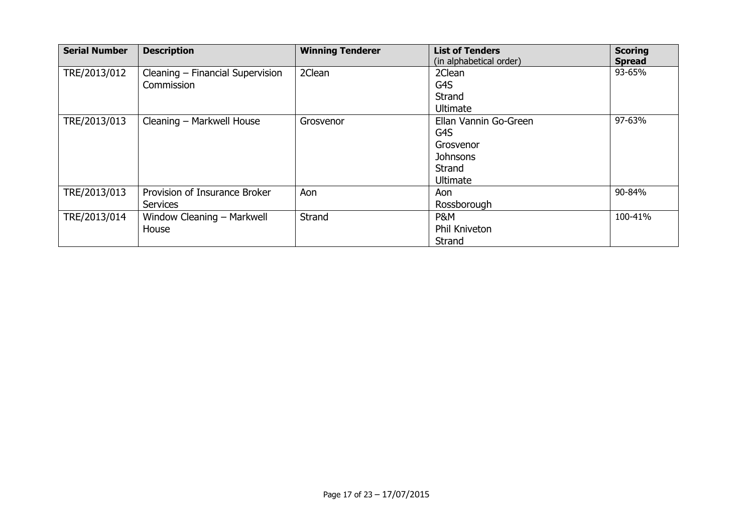| <b>Serial Number</b> | <b>Description</b>                               | <b>Winning Tenderer</b> | <b>List of Tenders</b><br>(in alphabetical order)                                  | <b>Scoring</b><br><b>Spread</b> |
|----------------------|--------------------------------------------------|-------------------------|------------------------------------------------------------------------------------|---------------------------------|
| TRE/2013/012         | Cleaning - Financial Supervision<br>Commission   | 2Clean                  | 2Clean<br>G4S<br>Strand<br>Ultimate                                                | 93-65%                          |
| TRE/2013/013         | Cleaning - Markwell House                        | Grosvenor               | Ellan Vannin Go-Green<br>G4S<br>Grosvenor<br><b>Johnsons</b><br>Strand<br>Ultimate | 97-63%                          |
| TRE/2013/013         | Provision of Insurance Broker<br><b>Services</b> | Aon                     | Aon<br>Rossborough                                                                 | 90-84%                          |
| TRE/2013/014         | Window Cleaning - Markwell<br>House              | Strand                  | P&M<br>Phil Kniveton<br>Strand                                                     | 100-41%                         |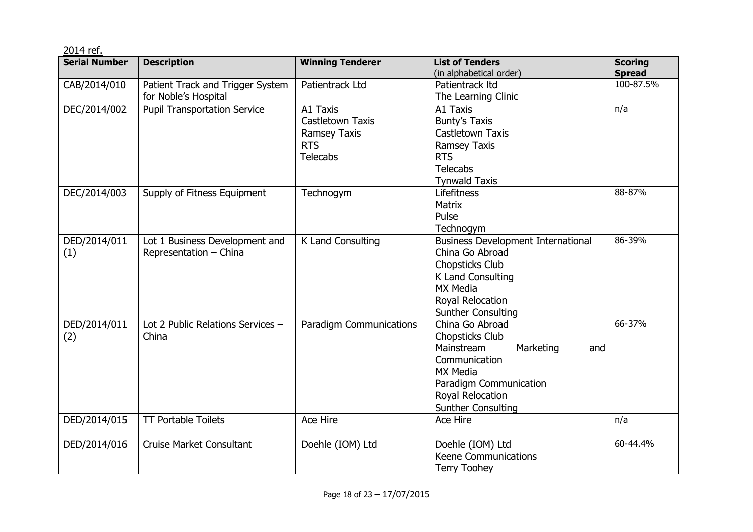| 2014 ref.            |                                                          |                                                                                      |                                                                                                                                                                                     |                                 |
|----------------------|----------------------------------------------------------|--------------------------------------------------------------------------------------|-------------------------------------------------------------------------------------------------------------------------------------------------------------------------------------|---------------------------------|
| <b>Serial Number</b> | <b>Description</b>                                       | <b>Winning Tenderer</b>                                                              | <b>List of Tenders</b><br>(in alphabetical order)                                                                                                                                   | <b>Scoring</b><br><b>Spread</b> |
| CAB/2014/010         | Patient Track and Trigger System<br>for Noble's Hospital | Patientrack Ltd                                                                      | Patientrack Itd<br>The Learning Clinic                                                                                                                                              | 100-87.5%                       |
| DEC/2014/002         | <b>Pupil Transportation Service</b>                      | A1 Taxis<br>Castletown Taxis<br><b>Ramsey Taxis</b><br><b>RTS</b><br><b>Telecabs</b> | A1 Taxis<br><b>Bunty's Taxis</b><br>Castletown Taxis<br><b>Ramsey Taxis</b><br><b>RTS</b><br><b>Telecabs</b><br><b>Tynwald Taxis</b>                                                | n/a                             |
| DEC/2014/003         | Supply of Fitness Equipment                              | Technogym                                                                            | Lifefitness<br><b>Matrix</b><br>Pulse<br>Technogym                                                                                                                                  | 88-87%                          |
| DED/2014/011<br>(1)  | Lot 1 Business Development and<br>Representation - China | K Land Consulting                                                                    | <b>Business Development International</b><br>China Go Abroad<br><b>Chopsticks Club</b><br>K Land Consulting<br><b>MX Media</b><br>Royal Relocation<br><b>Sunther Consulting</b>     | 86-39%                          |
| DED/2014/011<br>(2)  | Lot 2 Public Relations Services -<br>China               | <b>Paradigm Communications</b>                                                       | China Go Abroad<br>Chopsticks Club<br>Mainstream<br>Marketing<br>and<br>Communication<br><b>MX Media</b><br>Paradigm Communication<br>Royal Relocation<br><b>Sunther Consulting</b> | $66 - 37%$                      |
| DED/2014/015         | <b>TT Portable Toilets</b>                               | Ace Hire                                                                             | Ace Hire                                                                                                                                                                            | n/a                             |
| DED/2014/016         | <b>Cruise Market Consultant</b>                          | Doehle (IOM) Ltd                                                                     | Doehle (IOM) Ltd<br><b>Keene Communications</b><br><b>Terry Toohey</b>                                                                                                              | 60-44.4%                        |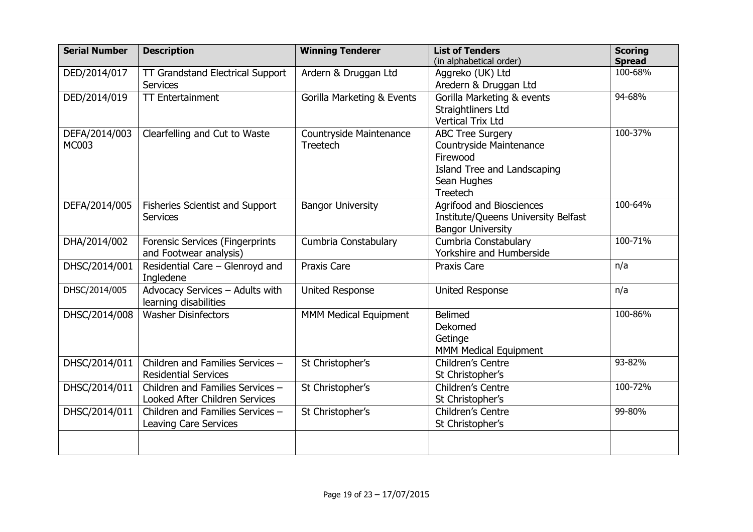| <b>Serial Number</b> | <b>Description</b>               | <b>Winning Tenderer</b>      | <b>List of Tenders</b>              | <b>Scoring</b> |
|----------------------|----------------------------------|------------------------------|-------------------------------------|----------------|
|                      |                                  |                              | (in alphabetical order)             | <b>Spread</b>  |
| DED/2014/017         | TT Grandstand Electrical Support | Ardern & Druggan Ltd         | Aggreko (UK) Ltd                    | 100-68%        |
|                      | <b>Services</b>                  |                              | Aredern & Druggan Ltd               |                |
| DED/2014/019         | <b>TT Entertainment</b>          | Gorilla Marketing & Events   | Gorilla Marketing & events          | 94-68%         |
|                      |                                  |                              | Straightliners Ltd                  |                |
|                      |                                  |                              | <b>Vertical Trix Ltd</b>            |                |
| DEFA/2014/003        | Clearfelling and Cut to Waste    | Countryside Maintenance      | <b>ABC Tree Surgery</b>             | 100-37%        |
| MC003                |                                  | Treetech                     | Countryside Maintenance             |                |
|                      |                                  |                              | Firewood                            |                |
|                      |                                  |                              | Island Tree and Landscaping         |                |
|                      |                                  |                              | Sean Hughes                         |                |
|                      |                                  |                              | Treetech                            |                |
| DEFA/2014/005        | Fisheries Scientist and Support  | <b>Bangor University</b>     | Agrifood and Biosciences            | 100-64%        |
|                      | <b>Services</b>                  |                              | Institute/Queens University Belfast |                |
|                      |                                  |                              | <b>Bangor University</b>            |                |
| DHA/2014/002         | Forensic Services (Fingerprints  | Cumbria Constabulary         | Cumbria Constabulary                | 100-71%        |
|                      | and Footwear analysis)           |                              | Yorkshire and Humberside            |                |
| DHSC/2014/001        | Residential Care - Glenroyd and  | Praxis Care                  | Praxis Care                         | n/a            |
|                      | Ingledene                        |                              |                                     |                |
| DHSC/2014/005        | Advocacy Services - Adults with  | <b>United Response</b>       | <b>United Response</b>              | n/a            |
|                      | learning disabilities            |                              |                                     |                |
| DHSC/2014/008        | <b>Washer Disinfectors</b>       | <b>MMM Medical Equipment</b> | <b>Belimed</b>                      | 100-86%        |
|                      |                                  |                              | Dekomed                             |                |
|                      |                                  |                              | Getinge                             |                |
|                      |                                  |                              | MMM Medical Equipment               |                |
| DHSC/2014/011        | Children and Families Services - | St Christopher's             | Children's Centre                   | 93-82%         |
|                      | <b>Residential Services</b>      |                              | St Christopher's                    |                |
| DHSC/2014/011        | Children and Families Services - | St Christopher's             | Children's Centre                   | 100-72%        |
|                      | Looked After Children Services   |                              | St Christopher's                    |                |
| DHSC/2014/011        | Children and Families Services - | St Christopher's             | Children's Centre                   | 99-80%         |
|                      | Leaving Care Services            |                              | St Christopher's                    |                |
|                      |                                  |                              |                                     |                |
|                      |                                  |                              |                                     |                |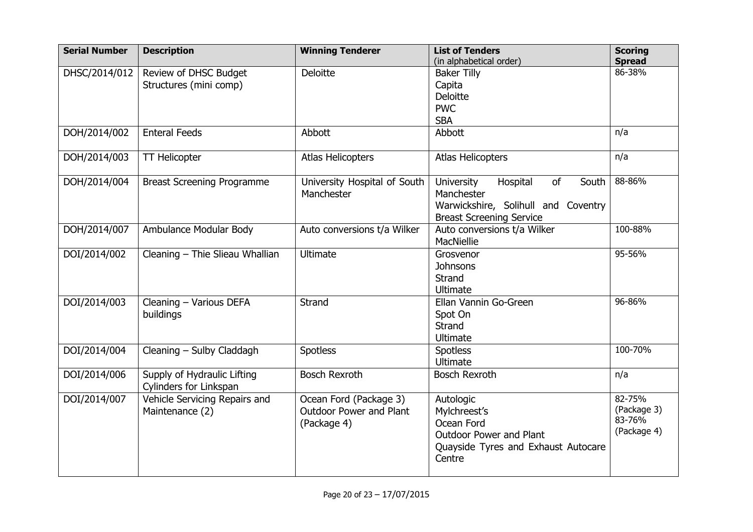| <b>Serial Number</b> | <b>Description</b>                | <b>Winning Tenderer</b>        | <b>List of Tenders</b>                | <b>Scoring</b> |
|----------------------|-----------------------------------|--------------------------------|---------------------------------------|----------------|
|                      |                                   |                                | (in alphabetical order)               | <b>Spread</b>  |
| DHSC/2014/012        | Review of DHSC Budget             | Deloitte                       | <b>Baker Tilly</b>                    | 86-38%         |
|                      | Structures (mini comp)            |                                | Capita                                |                |
|                      |                                   |                                | <b>Deloitte</b>                       |                |
|                      |                                   |                                | <b>PWC</b>                            |                |
|                      |                                   |                                | <b>SBA</b>                            |                |
| DOH/2014/002         | <b>Enteral Feeds</b>              | Abbott                         | Abbott                                | n/a            |
| DOH/2014/003         | <b>TT Helicopter</b>              | <b>Atlas Helicopters</b>       | <b>Atlas Helicopters</b>              | n/a            |
| DOH/2014/004         | <b>Breast Screening Programme</b> | University Hospital of South   | University<br>Hospital<br>of<br>South | 88-86%         |
|                      |                                   | Manchester                     | Manchester                            |                |
|                      |                                   |                                | Warwickshire, Solihull and Coventry   |                |
|                      |                                   |                                | <b>Breast Screening Service</b>       |                |
| DOH/2014/007         | Ambulance Modular Body            | Auto conversions t/a Wilker    | Auto conversions t/a Wilker           | 100-88%        |
|                      |                                   |                                | MacNiellie                            |                |
| DOI/2014/002         | Cleaning - Thie Slieau Whallian   | <b>Ultimate</b>                | Grosvenor                             | 95-56%         |
|                      |                                   |                                | <b>Johnsons</b>                       |                |
|                      |                                   |                                | Strand                                |                |
|                      |                                   |                                | <b>Ultimate</b>                       |                |
| DOI/2014/003         | Cleaning - Various DEFA           | Strand                         | Ellan Vannin Go-Green                 | 96-86%         |
|                      | buildings                         |                                | Spot On                               |                |
|                      |                                   |                                | <b>Strand</b>                         |                |
|                      |                                   |                                | <b>Ultimate</b>                       |                |
| DOI/2014/004         | Cleaning - Sulby Claddagh         | <b>Spotless</b>                | <b>Spotless</b>                       | 100-70%        |
|                      |                                   |                                | Ultimate                              |                |
| DOI/2014/006         | Supply of Hydraulic Lifting       | <b>Bosch Rexroth</b>           | <b>Bosch Rexroth</b>                  | n/a            |
|                      | Cylinders for Linkspan            |                                |                                       |                |
| DOI/2014/007         | Vehicle Servicing Repairs and     | Ocean Ford (Package 3)         | Autologic                             | 82-75%         |
|                      | Maintenance (2)                   | <b>Outdoor Power and Plant</b> | Mylchreest's                          | (Package 3)    |
|                      |                                   | (Package 4)                    | Ocean Ford                            | 83-76%         |
|                      |                                   |                                | <b>Outdoor Power and Plant</b>        | (Package 4)    |
|                      |                                   |                                | Quayside Tyres and Exhaust Autocare   |                |
|                      |                                   |                                | Centre                                |                |
|                      |                                   |                                |                                       |                |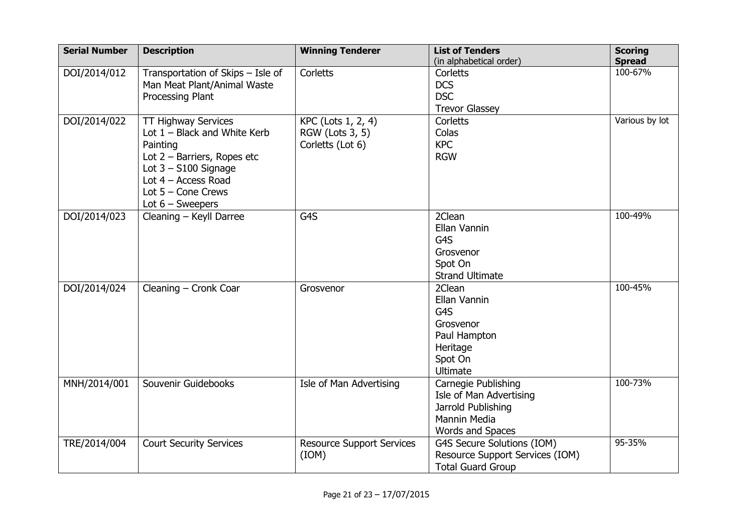| <b>Serial Number</b> | <b>Description</b>                | <b>Winning Tenderer</b>          | <b>List of Tenders</b>          | <b>Scoring</b>           |
|----------------------|-----------------------------------|----------------------------------|---------------------------------|--------------------------|
|                      |                                   |                                  | (in alphabetical order)         | <b>Spread</b><br>100-67% |
| DOI/2014/012         | Transportation of Skips - Isle of | Corletts                         | Corletts                        |                          |
|                      | Man Meat Plant/Animal Waste       |                                  | <b>DCS</b>                      |                          |
|                      | Processing Plant                  |                                  | <b>DSC</b>                      |                          |
|                      |                                   |                                  | <b>Trevor Glassey</b>           |                          |
| DOI/2014/022         | <b>TT Highway Services</b>        | KPC (Lots 1, 2, 4)               | Corletts                        | Various by lot           |
|                      | Lot $1 -$ Black and White Kerb    | RGW (Lots 3, 5)                  | Colas                           |                          |
|                      | Painting                          | Corletts (Lot 6)                 | <b>KPC</b>                      |                          |
|                      | Lot $2$ – Barriers, Ropes etc     |                                  | <b>RGW</b>                      |                          |
|                      | Lot $3 - S100$ Signage            |                                  |                                 |                          |
|                      | Lot $4 -$ Access Road             |                                  |                                 |                          |
|                      | Lot $5 -$ Cone Crews              |                                  |                                 |                          |
|                      | Lot $6$ – Sweepers                |                                  |                                 |                          |
| DOI/2014/023         | Cleaning - Keyll Darree           | G4S                              | 2Clean                          | 100-49%                  |
|                      |                                   |                                  | Ellan Vannin                    |                          |
|                      |                                   |                                  | G4S                             |                          |
|                      |                                   |                                  | Grosvenor                       |                          |
|                      |                                   |                                  | Spot On                         |                          |
|                      |                                   |                                  | <b>Strand Ultimate</b>          |                          |
| DOI/2014/024         | Cleaning - Cronk Coar             | Grosvenor                        | 2Clean                          | 100-45%                  |
|                      |                                   |                                  | Ellan Vannin                    |                          |
|                      |                                   |                                  | G4S                             |                          |
|                      |                                   |                                  | Grosvenor                       |                          |
|                      |                                   |                                  | Paul Hampton                    |                          |
|                      |                                   |                                  | Heritage                        |                          |
|                      |                                   |                                  | Spot On                         |                          |
|                      |                                   |                                  | <b>Ultimate</b>                 |                          |
| MNH/2014/001         | Souvenir Guidebooks               | Isle of Man Advertising          | Carnegie Publishing             | 100-73%                  |
|                      |                                   |                                  | Isle of Man Advertising         |                          |
|                      |                                   |                                  | Jarrold Publishing              |                          |
|                      |                                   |                                  | <b>Mannin Media</b>             |                          |
|                      |                                   |                                  | Words and Spaces                |                          |
| TRE/2014/004         | <b>Court Security Services</b>    | <b>Resource Support Services</b> | G4S Secure Solutions (IOM)      | 95-35%                   |
|                      |                                   | (ION)                            | Resource Support Services (IOM) |                          |
|                      |                                   |                                  | <b>Total Guard Group</b>        |                          |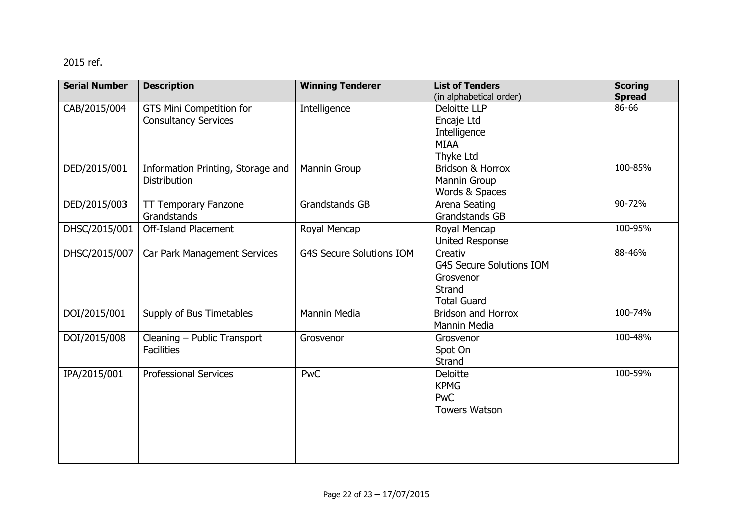## <u>2015 ref.</u>

| <b>Serial Number</b> | <b>Description</b>                | <b>Winning Tenderer</b>         | <b>List of Tenders</b>          | <b>Scoring</b> |
|----------------------|-----------------------------------|---------------------------------|---------------------------------|----------------|
|                      |                                   |                                 | (in alphabetical order)         | <b>Spread</b>  |
| CAB/2015/004         | GTS Mini Competition for          | Intelligence                    | Deloitte LLP                    | 86-66          |
|                      | <b>Consultancy Services</b>       |                                 | Encaje Ltd                      |                |
|                      |                                   |                                 | Intelligence                    |                |
|                      |                                   |                                 | <b>MIAA</b>                     |                |
|                      |                                   |                                 | Thyke Ltd                       |                |
| DED/2015/001         | Information Printing, Storage and | Mannin Group                    | Bridson & Horrox                | 100-85%        |
|                      | <b>Distribution</b>               |                                 | Mannin Group                    |                |
|                      |                                   |                                 | Words & Spaces                  |                |
| DED/2015/003         | <b>TT Temporary Fanzone</b>       | <b>Grandstands GB</b>           | Arena Seating                   | 90-72%         |
|                      | Grandstands                       |                                 | Grandstands GB                  |                |
| DHSC/2015/001        | <b>Off-Island Placement</b>       | Royal Mencap                    | Royal Mencap                    | 100-95%        |
|                      |                                   |                                 | <b>United Response</b>          |                |
| DHSC/2015/007        | Car Park Management Services      | <b>G4S Secure Solutions IOM</b> | Creativ                         | 88-46%         |
|                      |                                   |                                 | <b>G4S Secure Solutions IOM</b> |                |
|                      |                                   |                                 | Grosvenor                       |                |
|                      |                                   |                                 | <b>Strand</b>                   |                |
|                      |                                   |                                 | <b>Total Guard</b>              |                |
| DOI/2015/001         | Supply of Bus Timetables          | Mannin Media                    | <b>Bridson and Horrox</b>       | 100-74%        |
|                      |                                   |                                 | Mannin Media                    |                |
| DOI/2015/008         | Cleaning - Public Transport       | Grosvenor                       | Grosvenor                       | 100-48%        |
|                      | <b>Facilities</b>                 |                                 | Spot On                         |                |
|                      |                                   |                                 | Strand                          |                |
| IPA/2015/001         | <b>Professional Services</b>      | <b>PwC</b>                      | Deloitte                        | 100-59%        |
|                      |                                   |                                 | <b>KPMG</b>                     |                |
|                      |                                   |                                 | <b>PwC</b>                      |                |
|                      |                                   |                                 | <b>Towers Watson</b>            |                |
|                      |                                   |                                 |                                 |                |
|                      |                                   |                                 |                                 |                |
|                      |                                   |                                 |                                 |                |
|                      |                                   |                                 |                                 |                |